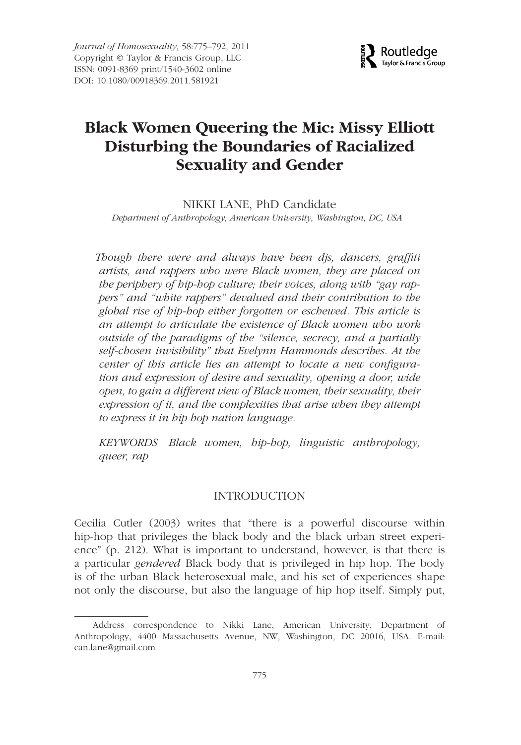*Journal of Homosexuality*, 58:775–792, 2011 Copyright © Taylor & Francis Group, LLC ISSN: 0091-8369 print/1540-3602 online DOI: 10.1080/00918369.2011.581921



# **Black Women Queering the Mic: Missy Elliott Disturbing the Boundaries of Racialized Sexuality and Gender**

NIKKI LANE, PhD Candidate *Department of Anthropology, American University, Washington, DC, USA*

*Though there were and always have been djs, dancers, graffiti artists, and rappers who were Black women, they are placed on the periphery of hip-hop culture; their voices, along with "gay rappers" and "white rappers" devalued and their contribution to the global rise of hip-hop either forgotten or eschewed. This article is an attempt to articulate the existence of Black women who work outside of the paradigms of the "silence, secrecy, and a partially self-chosen invisibility" that Evelynn Hammonds describes. At the center of this article lies an attempt to locate a new configuration and expression of desire and sexuality, opening a door, wide open, to gain a different view of Black women, their sexuality, their expression of it, and the complexities that arise when they attempt to express it in hip hop nation language.*

*KEYWORDS Black women, hip-hop, linguistic anthropology, queer, rap*

#### INTRODUCTION

Cecilia Cutler (2003) writes that "there is a powerful discourse within hip-hop that privileges the black body and the black urban street experience" (p. 212). What is important to understand, however, is that there is a particular *gendered* Black body that is privileged in hip hop. The body is of the urban Black heterosexual male, and his set of experiences shape not only the discourse, but also the language of hip hop itself. Simply put,

Address correspondence to Nikki Lane, American University, Department of Anthropology, 4400 Massachusetts Avenue, NW, Washington, DC 20016, USA. E-mail: can.lane@gmail.com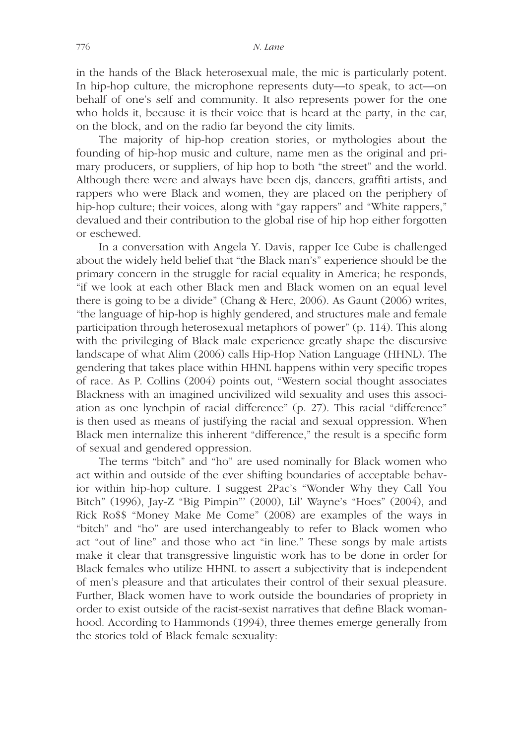in the hands of the Black heterosexual male, the mic is particularly potent. In hip-hop culture, the microphone represents duty—to speak, to act—on behalf of one's self and community. It also represents power for the one who holds it, because it is their voice that is heard at the party, in the car, on the block, and on the radio far beyond the city limits.

The majority of hip-hop creation stories, or mythologies about the founding of hip-hop music and culture, name men as the original and primary producers, or suppliers, of hip hop to both "the street" and the world. Although there were and always have been djs, dancers, graffiti artists, and rappers who were Black and women, they are placed on the periphery of hip-hop culture; their voices, along with "gay rappers" and "White rappers," devalued and their contribution to the global rise of hip hop either forgotten or eschewed.

In a conversation with Angela Y. Davis, rapper Ice Cube is challenged about the widely held belief that "the Black man's" experience should be the primary concern in the struggle for racial equality in America; he responds, "if we look at each other Black men and Black women on an equal level there is going to be a divide" (Chang & Herc, 2006). As Gaunt (2006) writes, "the language of hip-hop is highly gendered, and structures male and female participation through heterosexual metaphors of power" (p. 114). This along with the privileging of Black male experience greatly shape the discursive landscape of what Alim (2006) calls Hip-Hop Nation Language (HHNL). The gendering that takes place within HHNL happens within very specific tropes of race. As P. Collins (2004) points out, "Western social thought associates Blackness with an imagined uncivilized wild sexuality and uses this association as one lynchpin of racial difference" (p. 27). This racial "difference" is then used as means of justifying the racial and sexual oppression. When Black men internalize this inherent "difference," the result is a specific form of sexual and gendered oppression.

The terms "bitch" and "ho" are used nominally for Black women who act within and outside of the ever shifting boundaries of acceptable behavior within hip-hop culture. I suggest 2Pac's "Wonder Why they Call You Bitch" (1996), Jay-Z "Big Pimpin"' (2000), Lil' Wayne's "Hoes" (2004), and Rick Ro\$\$ "Money Make Me Come" (2008) are examples of the ways in "bitch" and "ho" are used interchangeably to refer to Black women who act "out of line" and those who act "in line." These songs by male artists make it clear that transgressive linguistic work has to be done in order for Black females who utilize HHNL to assert a subjectivity that is independent of men's pleasure and that articulates their control of their sexual pleasure. Further, Black women have to work outside the boundaries of propriety in order to exist outside of the racist-sexist narratives that define Black womanhood. According to Hammonds (1994), three themes emerge generally from the stories told of Black female sexuality: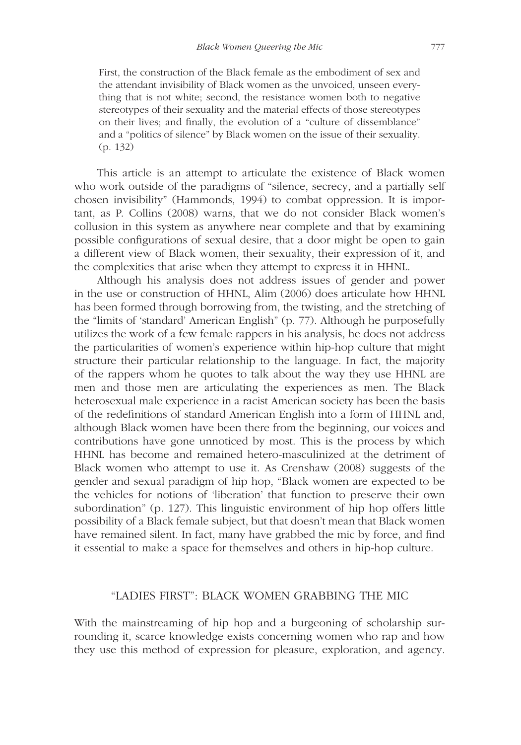First, the construction of the Black female as the embodiment of sex and the attendant invisibility of Black women as the unvoiced, unseen everything that is not white; second, the resistance women both to negative stereotypes of their sexuality and the material effects of those stereotypes on their lives; and finally, the evolution of a "culture of dissemblance" and a "politics of silence" by Black women on the issue of their sexuality. (p. 132)

This article is an attempt to articulate the existence of Black women who work outside of the paradigms of "silence, secrecy, and a partially self chosen invisibility" (Hammonds, 1994) to combat oppression. It is important, as P. Collins (2008) warns, that we do not consider Black women's collusion in this system as anywhere near complete and that by examining possible configurations of sexual desire, that a door might be open to gain a different view of Black women, their sexuality, their expression of it, and the complexities that arise when they attempt to express it in HHNL.

Although his analysis does not address issues of gender and power in the use or construction of HHNL, Alim (2006) does articulate how HHNL has been formed through borrowing from, the twisting, and the stretching of the "limits of 'standard' American English" (p. 77). Although he purposefully utilizes the work of a few female rappers in his analysis, he does not address the particularities of women's experience within hip-hop culture that might structure their particular relationship to the language. In fact, the majority of the rappers whom he quotes to talk about the way they use HHNL are men and those men are articulating the experiences as men. The Black heterosexual male experience in a racist American society has been the basis of the redefinitions of standard American English into a form of HHNL and, although Black women have been there from the beginning, our voices and contributions have gone unnoticed by most. This is the process by which HHNL has become and remained hetero-masculinized at the detriment of Black women who attempt to use it. As Crenshaw (2008) suggests of the gender and sexual paradigm of hip hop, "Black women are expected to be the vehicles for notions of 'liberation' that function to preserve their own subordination" (p. 127). This linguistic environment of hip hop offers little possibility of a Black female subject, but that doesn't mean that Black women have remained silent. In fact, many have grabbed the mic by force, and find it essential to make a space for themselves and others in hip-hop culture.

## "LADIES FIRST": BLACK WOMEN GRABBING THE MIC

With the mainstreaming of hip hop and a burgeoning of scholarship surrounding it, scarce knowledge exists concerning women who rap and how they use this method of expression for pleasure, exploration, and agency.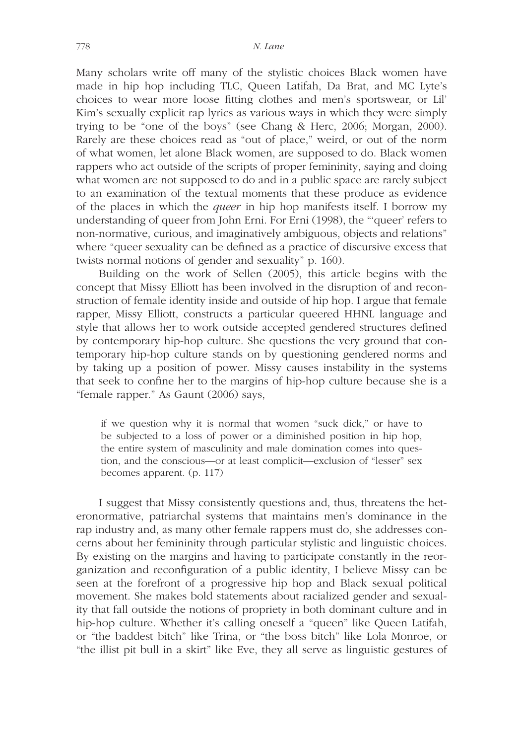Many scholars write off many of the stylistic choices Black women have made in hip hop including TLC, Queen Latifah, Da Brat, and MC Lyte's choices to wear more loose fitting clothes and men's sportswear, or Lil' Kim's sexually explicit rap lyrics as various ways in which they were simply trying to be "one of the boys" (see Chang & Herc, 2006; Morgan, 2000). Rarely are these choices read as "out of place," weird, or out of the norm of what women, let alone Black women, are supposed to do. Black women rappers who act outside of the scripts of proper femininity, saying and doing what women are not supposed to do and in a public space are rarely subject to an examination of the textual moments that these produce as evidence of the places in which the *queer* in hip hop manifests itself. I borrow my understanding of queer from John Erni. For Erni (1998), the "'queer' refers to non-normative, curious, and imaginatively ambiguous, objects and relations" where "queer sexuality can be defined as a practice of discursive excess that twists normal notions of gender and sexuality" p. 160).

Building on the work of Sellen (2005), this article begins with the concept that Missy Elliott has been involved in the disruption of and reconstruction of female identity inside and outside of hip hop. I argue that female rapper, Missy Elliott, constructs a particular queered HHNL language and style that allows her to work outside accepted gendered structures defined by contemporary hip-hop culture. She questions the very ground that contemporary hip-hop culture stands on by questioning gendered norms and by taking up a position of power. Missy causes instability in the systems that seek to confine her to the margins of hip-hop culture because she is a "female rapper." As Gaunt (2006) says,

if we question why it is normal that women "suck dick," or have to be subjected to a loss of power or a diminished position in hip hop, the entire system of masculinity and male domination comes into question, and the conscious—or at least complicit—exclusion of "lesser" sex becomes apparent. (p. 117)

I suggest that Missy consistently questions and, thus, threatens the heteronormative, patriarchal systems that maintains men's dominance in the rap industry and, as many other female rappers must do, she addresses concerns about her femininity through particular stylistic and linguistic choices. By existing on the margins and having to participate constantly in the reorganization and reconfiguration of a public identity, I believe Missy can be seen at the forefront of a progressive hip hop and Black sexual political movement. She makes bold statements about racialized gender and sexuality that fall outside the notions of propriety in both dominant culture and in hip-hop culture. Whether it's calling oneself a "queen" like Queen Latifah, or "the baddest bitch" like Trina, or "the boss bitch" like Lola Monroe, or "the illist pit bull in a skirt" like Eve, they all serve as linguistic gestures of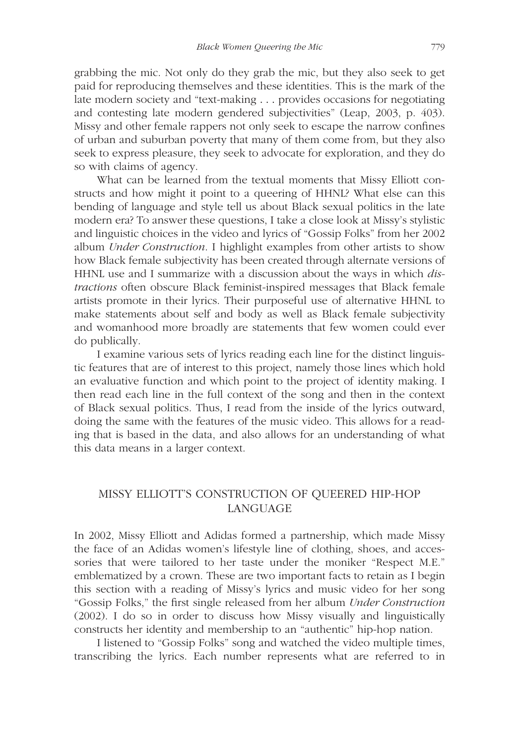grabbing the mic. Not only do they grab the mic, but they also seek to get paid for reproducing themselves and these identities. This is the mark of the late modern society and "text-making *...* provides occasions for negotiating and contesting late modern gendered subjectivities" (Leap, 2003, p. 403). Missy and other female rappers not only seek to escape the narrow confines of urban and suburban poverty that many of them come from, but they also seek to express pleasure, they seek to advocate for exploration, and they do so with claims of agency.

What can be learned from the textual moments that Missy Elliott constructs and how might it point to a queering of HHNL? What else can this bending of language and style tell us about Black sexual politics in the late modern era? To answer these questions, I take a close look at Missy's stylistic and linguistic choices in the video and lyrics of "Gossip Folks" from her 2002 album *Under Construction*. I highlight examples from other artists to show how Black female subjectivity has been created through alternate versions of HHNL use and I summarize with a discussion about the ways in which *distractions* often obscure Black feminist-inspired messages that Black female artists promote in their lyrics. Their purposeful use of alternative HHNL to make statements about self and body as well as Black female subjectivity and womanhood more broadly are statements that few women could ever do publically.

I examine various sets of lyrics reading each line for the distinct linguistic features that are of interest to this project, namely those lines which hold an evaluative function and which point to the project of identity making. I then read each line in the full context of the song and then in the context of Black sexual politics. Thus, I read from the inside of the lyrics outward, doing the same with the features of the music video. This allows for a reading that is based in the data, and also allows for an understanding of what this data means in a larger context.

# MISSY ELLIOTT'S CONSTRUCTION OF QUEERED HIP-HOP LANGUAGE

In 2002, Missy Elliott and Adidas formed a partnership, which made Missy the face of an Adidas women's lifestyle line of clothing, shoes, and accessories that were tailored to her taste under the moniker "Respect M.E." emblematized by a crown. These are two important facts to retain as I begin this section with a reading of Missy's lyrics and music video for her song "Gossip Folks," the first single released from her album *Under Construction* (2002). I do so in order to discuss how Missy visually and linguistically constructs her identity and membership to an "authentic" hip-hop nation.

I listened to "Gossip Folks" song and watched the video multiple times, transcribing the lyrics. Each number represents what are referred to in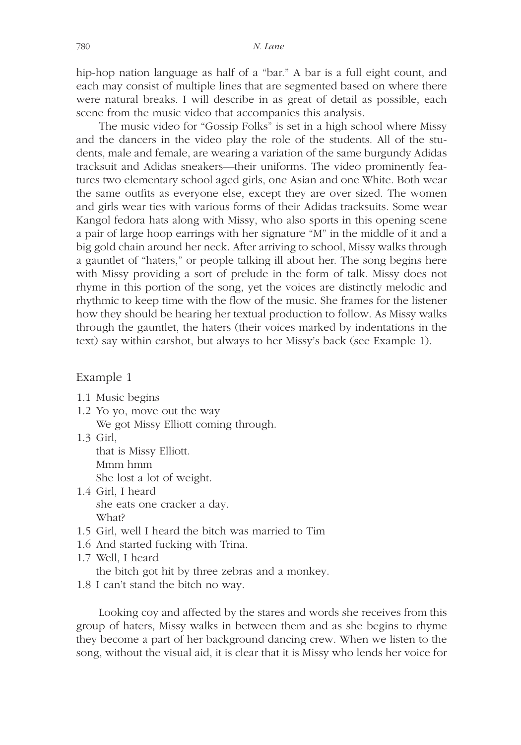hip-hop nation language as half of a "bar." A bar is a full eight count, and each may consist of multiple lines that are segmented based on where there were natural breaks. I will describe in as great of detail as possible, each scene from the music video that accompanies this analysis.

The music video for "Gossip Folks" is set in a high school where Missy and the dancers in the video play the role of the students. All of the students, male and female, are wearing a variation of the same burgundy Adidas tracksuit and Adidas sneakers—their uniforms. The video prominently features two elementary school aged girls, one Asian and one White. Both wear the same outfits as everyone else, except they are over sized. The women and girls wear ties with various forms of their Adidas tracksuits. Some wear Kangol fedora hats along with Missy, who also sports in this opening scene a pair of large hoop earrings with her signature "M" in the middle of it and a big gold chain around her neck. After arriving to school, Missy walks through a gauntlet of "haters," or people talking ill about her. The song begins here with Missy providing a sort of prelude in the form of talk. Missy does not rhyme in this portion of the song, yet the voices are distinctly melodic and rhythmic to keep time with the flow of the music. She frames for the listener how they should be hearing her textual production to follow. As Missy walks through the gauntlet, the haters (their voices marked by indentations in the text) say within earshot, but always to her Missy's back (see Example 1).

## Example 1

- 1.1 Music begins
- 1.2 Yo yo, move out the way We got Missy Elliott coming through.
- 1.3 Girl,

that is Missy Elliott. Mmm hmm

She lost a lot of weight.

- 1.4 Girl, I heard she eats one cracker a day. What?
- 1.5 Girl, well I heard the bitch was married to Tim
- 1.6 And started fucking with Trina.
- 1.7 Well, I heard
	- the bitch got hit by three zebras and a monkey.
- 1.8 I can't stand the bitch no way.

Looking coy and affected by the stares and words she receives from this group of haters, Missy walks in between them and as she begins to rhyme they become a part of her background dancing crew. When we listen to the song, without the visual aid, it is clear that it is Missy who lends her voice for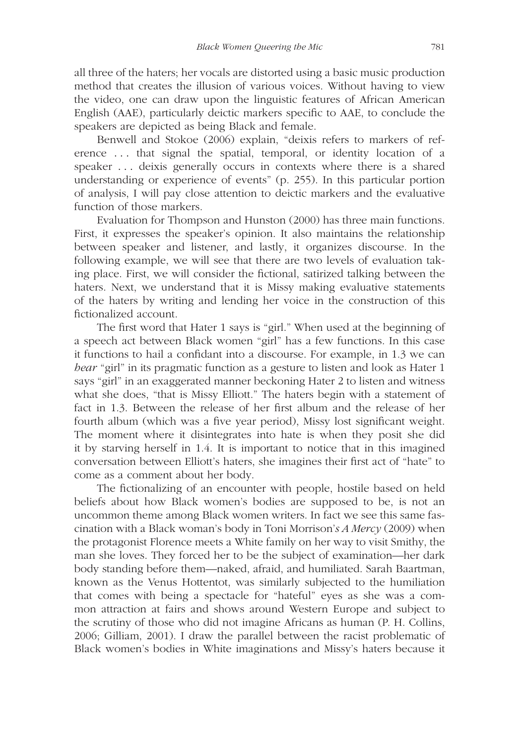all three of the haters; her vocals are distorted using a basic music production method that creates the illusion of various voices. Without having to view the video, one can draw upon the linguistic features of African American English (AAE), particularly deictic markers specific to AAE, to conclude the speakers are depicted as being Black and female.

Benwell and Stokoe (2006) explain, "deixis refers to markers of reference *...* that signal the spatial, temporal, or identity location of a speaker *...* deixis generally occurs in contexts where there is a shared understanding or experience of events" (p. 255). In this particular portion of analysis, I will pay close attention to deictic markers and the evaluative function of those markers.

Evaluation for Thompson and Hunston (2000) has three main functions. First, it expresses the speaker's opinion. It also maintains the relationship between speaker and listener, and lastly, it organizes discourse. In the following example, we will see that there are two levels of evaluation taking place. First, we will consider the fictional, satirized talking between the haters. Next, we understand that it is Missy making evaluative statements of the haters by writing and lending her voice in the construction of this fictionalized account.

The first word that Hater 1 says is "girl." When used at the beginning of a speech act between Black women "girl" has a few functions. In this case it functions to hail a confidant into a discourse. For example, in 1.3 we can *hear* "girl" in its pragmatic function as a gesture to listen and look as Hater 1 says "girl" in an exaggerated manner beckoning Hater 2 to listen and witness what she does, "that is Missy Elliott." The haters begin with a statement of fact in 1.3. Between the release of her first album and the release of her fourth album (which was a five year period), Missy lost significant weight. The moment where it disintegrates into hate is when they posit she did it by starving herself in 1.4. It is important to notice that in this imagined conversation between Elliott's haters, she imagines their first act of "hate" to come as a comment about her body.

The fictionalizing of an encounter with people, hostile based on held beliefs about how Black women's bodies are supposed to be, is not an uncommon theme among Black women writers. In fact we see this same fascination with a Black woman's body in Toni Morrison'*s A Mercy* (2009) when the protagonist Florence meets a White family on her way to visit Smithy, the man she loves. They forced her to be the subject of examination—her dark body standing before them—naked, afraid, and humiliated. Sarah Baartman, known as the Venus Hottentot, was similarly subjected to the humiliation that comes with being a spectacle for "hateful" eyes as she was a common attraction at fairs and shows around Western Europe and subject to the scrutiny of those who did not imagine Africans as human (P. H. Collins, 2006; Gilliam, 2001). I draw the parallel between the racist problematic of Black women's bodies in White imaginations and Missy's haters because it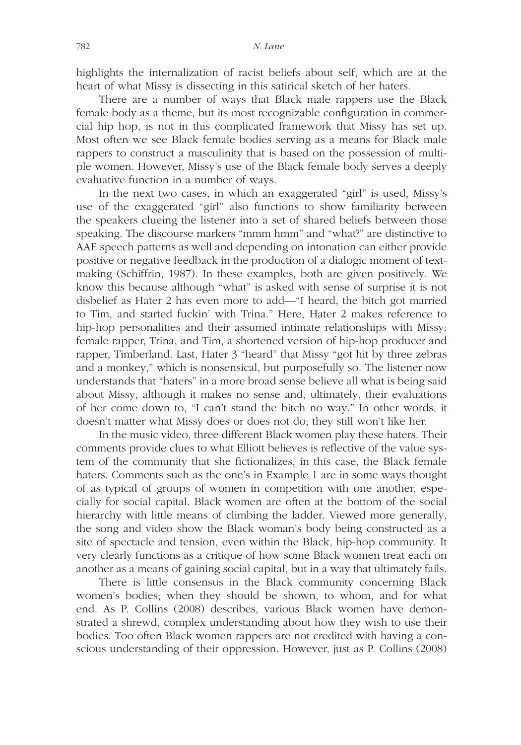highlights the internalization of racist beliefs about self, which are at the heart of what Missy is dissecting in this satirical sketch of her haters.

There are a number of ways that Black male rappers use the Black female body as a theme, but its most recognizable configuration in commercial hip hop, is not in this complicated framework that Missy has set up. Most often we see Black female bodies serving as a means for Black male rappers to construct a masculinity that is based on the possession of multiple women. However, Missy's use of the Black female body serves a deeply evaluative function in a number of ways.

In the next two cases, in which an exaggerated "girl" is used, Missy's use of the exaggerated "girl" also functions to show familiarity between the speakers clueing the listener into a set of shared beliefs between those speaking. The discourse markers "mmm hmm" and "what?" are distinctive to AAE speech patterns as well and depending on intonation can either provide positive or negative feedback in the production of a dialogic moment of textmaking (Schiffrin, 1987). In these examples, both are given positively. We know this because although "what" is asked with sense of surprise it is not disbelief as Hater 2 has even more to add—"I heard, the bitch got married to Tim, and started fuckin' with Trina." Here, Hater 2 makes reference to hip-hop personalities and their assumed intimate relationships with Missy: female rapper, Trina, and Tim, a shortened version of hip-hop producer and rapper, Timberland. Last, Hater 3 "heard" that Missy "got hit by three zebras and a monkey," which is nonsensical, but purposefully so. The listener now understands that "haters" in a more broad sense believe all what is being said about Missy, although it makes no sense and, ultimately, their evaluations of her come down to, "I can't stand the bitch no way." In other words, it doesn't matter what Missy does or does not do; they still won't like her.

In the music video, three different Black women play these haters. Their comments provide clues to what Elliott believes is reflective of the value system of the community that she fictionalizes, in this case, the Black female haters. Comments such as the one's in Example 1 are in some ways thought of as typical of groups of women in competition with one another, especially for social capital. Black women are often at the bottom of the social hierarchy with little means of climbing the ladder. Viewed more generally, the song and video show the Black woman's body being constructed as a site of spectacle and tension, even within the Black, hip-hop community. It very clearly functions as a critique of how some Black women treat each on another as a means of gaining social capital, but in a way that ultimately fails.

There is little consensus in the Black community concerning Black women's bodies; when they should be shown, to whom, and for what end. As P. Collins (2008) describes, various Black women have demonstrated a shrewd, complex understanding about how they wish to use their bodies. Too often Black women rappers are not credited with having a conscious understanding of their oppression. However, just as P. Collins (2008)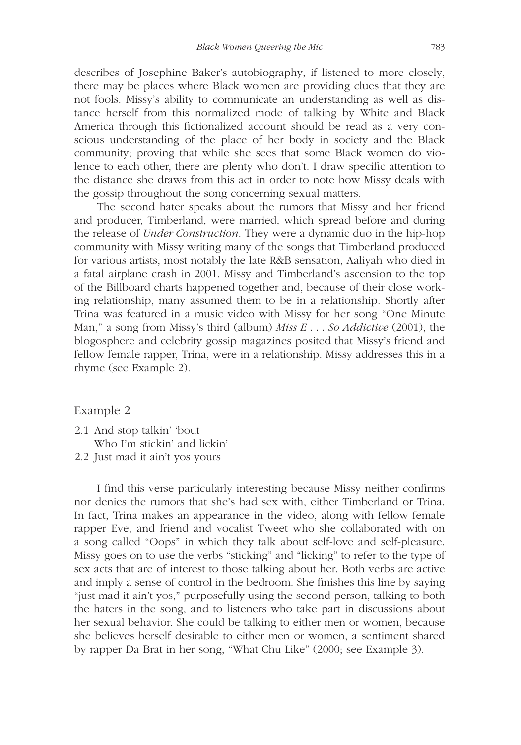describes of Josephine Baker's autobiography, if listened to more closely, there may be places where Black women are providing clues that they are not fools. Missy's ability to communicate an understanding as well as distance herself from this normalized mode of talking by White and Black America through this fictionalized account should be read as a very conscious understanding of the place of her body in society and the Black community; proving that while she sees that some Black women do violence to each other, there are plenty who don't. I draw specific attention to the distance she draws from this act in order to note how Missy deals with the gossip throughout the song concerning sexual matters.

The second hater speaks about the rumors that Missy and her friend and producer, Timberland, were married, which spread before and during the release of *Under Construction*. They were a dynamic duo in the hip-hop community with Missy writing many of the songs that Timberland produced for various artists, most notably the late R&B sensation, Aaliyah who died in a fatal airplane crash in 2001. Missy and Timberland's ascension to the top of the Billboard charts happened together and, because of their close working relationship, many assumed them to be in a relationship. Shortly after Trina was featured in a music video with Missy for her song "One Minute Man," a song from Missy's third (album) *Miss E ... So Addictive* (2001), the blogosphere and celebrity gossip magazines posited that Missy's friend and fellow female rapper, Trina, were in a relationship. Missy addresses this in a rhyme (see Example 2).

## Example 2

2.1 And stop talkin' 'bout Who I'm stickin' and lickin' 2.2 Just mad it ain't yos yours

I find this verse particularly interesting because Missy neither confirms nor denies the rumors that she's had sex with, either Timberland or Trina. In fact, Trina makes an appearance in the video, along with fellow female rapper Eve, and friend and vocalist Tweet who she collaborated with on a song called "Oops" in which they talk about self-love and self-pleasure. Missy goes on to use the verbs "sticking" and "licking" to refer to the type of sex acts that are of interest to those talking about her. Both verbs are active and imply a sense of control in the bedroom. She finishes this line by saying "just mad it ain't yos," purposefully using the second person, talking to both the haters in the song, and to listeners who take part in discussions about her sexual behavior. She could be talking to either men or women, because she believes herself desirable to either men or women, a sentiment shared by rapper Da Brat in her song, "What Chu Like" (2000; see Example 3).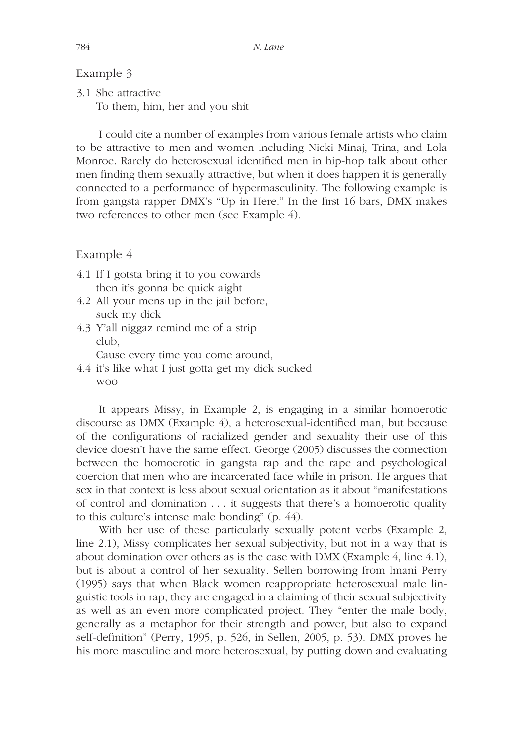Example 3

3.1 She attractive To them, him, her and you shit

I could cite a number of examples from various female artists who claim to be attractive to men and women including Nicki Minaj, Trina, and Lola Monroe. Rarely do heterosexual identified men in hip-hop talk about other men finding them sexually attractive, but when it does happen it is generally connected to a performance of hypermasculinity. The following example is from gangsta rapper DMX's "Up in Here." In the first 16 bars, DMX makes two references to other men (see Example 4).

# Example 4

- 4.1 If I gotsta bring it to you cowards then it's gonna be quick aight
- 4.2 All your mens up in the jail before, suck my dick
- 4.3 Y'all niggaz remind me of a strip club,

Cause every time you come around,

4.4 it's like what I just gotta get my dick sucked woo

It appears Missy, in Example 2, is engaging in a similar homoerotic discourse as DMX (Example 4), a heterosexual-identified man, but because of the configurations of racialized gender and sexuality their use of this device doesn't have the same effect. George (2005) discusses the connection between the homoerotic in gangsta rap and the rape and psychological coercion that men who are incarcerated face while in prison. He argues that sex in that context is less about sexual orientation as it about "manifestations of control and domination *...* it suggests that there's a homoerotic quality to this culture's intense male bonding" (p. 44).

With her use of these particularly sexually potent verbs (Example 2, line 2.1), Missy complicates her sexual subjectivity, but not in a way that is about domination over others as is the case with DMX (Example 4, line 4.1), but is about a control of her sexuality. Sellen borrowing from Imani Perry (1995) says that when Black women reappropriate heterosexual male linguistic tools in rap, they are engaged in a claiming of their sexual subjectivity as well as an even more complicated project. They "enter the male body, generally as a metaphor for their strength and power, but also to expand self-definition" (Perry, 1995, p. 526, in Sellen, 2005, p. 53). DMX proves he his more masculine and more heterosexual, by putting down and evaluating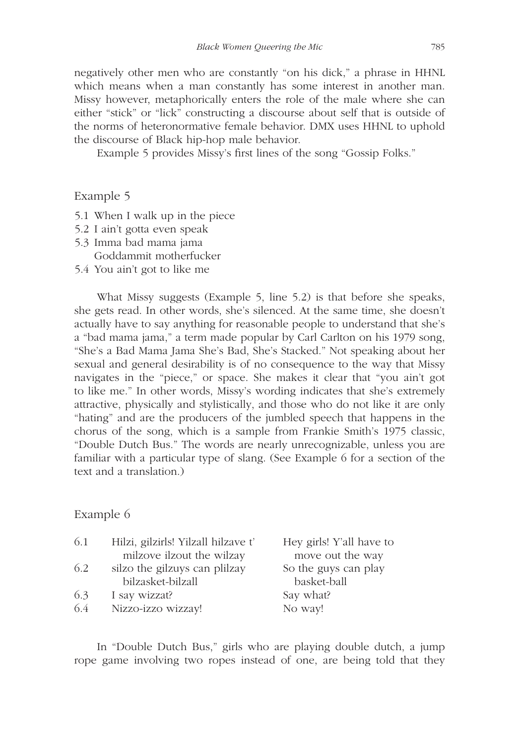negatively other men who are constantly "on his dick," a phrase in HHNL which means when a man constantly has some interest in another man. Missy however, metaphorically enters the role of the male where she can either "stick" or "lick" constructing a discourse about self that is outside of the norms of heteronormative female behavior. DMX uses HHNL to uphold the discourse of Black hip-hop male behavior.

Example 5 provides Missy's first lines of the song "Gossip Folks."

Example 5

- 5.1 When I walk up in the piece
- 5.2 I ain't gotta even speak
- 5.3 Imma bad mama jama Goddammit motherfucker
- 5.4 You ain't got to like me

What Missy suggests (Example 5, line 5.2) is that before she speaks, she gets read. In other words, she's silenced. At the same time, she doesn't actually have to say anything for reasonable people to understand that she's a "bad mama jama," a term made popular by Carl Carlton on his 1979 song, "She's a Bad Mama Jama She's Bad, She's Stacked." Not speaking about her sexual and general desirability is of no consequence to the way that Missy navigates in the "piece," or space. She makes it clear that "you ain't got to like me." In other words, Missy's wording indicates that she's extremely attractive, physically and stylistically, and those who do not like it are only "hating" and are the producers of the jumbled speech that happens in the chorus of the song, which is a sample from Frankie Smith's 1975 classic, "Double Dutch Bus." The words are nearly unrecognizable, unless you are familiar with a particular type of slang. (See Example 6 for a section of the text and a translation.)

Example 6

| 6.1 | Hilzi, gilzirls! Yilzall hilzave t' | Hey girls! Y'all have to |
|-----|-------------------------------------|--------------------------|
|     | milzove ilzout the wilzay           | move out the way         |
| 6.2 | silzo the gilzuys can plilzay       | So the guys can play     |
|     | bilzasket-bilzall                   | basket-ball              |
| 6.3 | I say wizzat?                       | Say what?                |
| 6.4 | Nizzo-izzo wizzay!                  | No way!                  |

In "Double Dutch Bus," girls who are playing double dutch, a jump rope game involving two ropes instead of one, are being told that they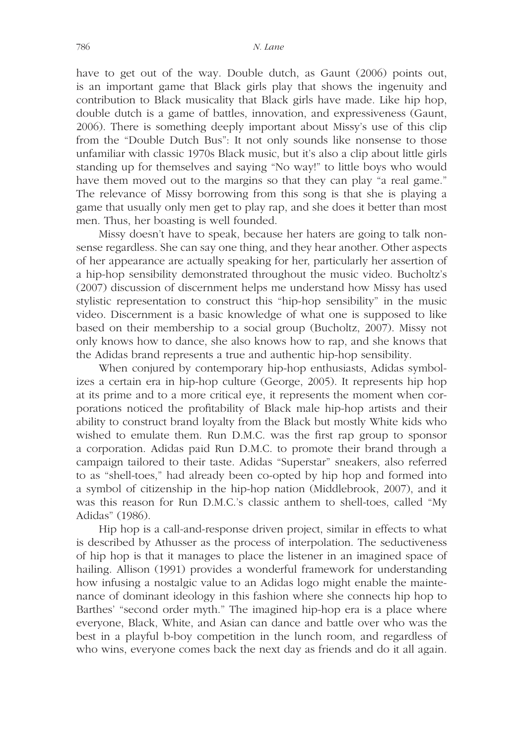have to get out of the way. Double dutch, as Gaunt (2006) points out, is an important game that Black girls play that shows the ingenuity and contribution to Black musicality that Black girls have made. Like hip hop, double dutch is a game of battles, innovation, and expressiveness (Gaunt, 2006). There is something deeply important about Missy's use of this clip from the "Double Dutch Bus": It not only sounds like nonsense to those unfamiliar with classic 1970s Black music, but it's also a clip about little girls standing up for themselves and saying "No way!" to little boys who would have them moved out to the margins so that they can play "a real game." The relevance of Missy borrowing from this song is that she is playing a game that usually only men get to play rap, and she does it better than most men. Thus, her boasting is well founded.

Missy doesn't have to speak, because her haters are going to talk nonsense regardless. She can say one thing, and they hear another. Other aspects of her appearance are actually speaking for her, particularly her assertion of a hip-hop sensibility demonstrated throughout the music video. Bucholtz's (2007) discussion of discernment helps me understand how Missy has used stylistic representation to construct this "hip-hop sensibility" in the music video. Discernment is a basic knowledge of what one is supposed to like based on their membership to a social group (Bucholtz, 2007). Missy not only knows how to dance, she also knows how to rap, and she knows that the Adidas brand represents a true and authentic hip-hop sensibility.

When conjured by contemporary hip-hop enthusiasts, Adidas symbolizes a certain era in hip-hop culture (George, 2005). It represents hip hop at its prime and to a more critical eye, it represents the moment when corporations noticed the profitability of Black male hip-hop artists and their ability to construct brand loyalty from the Black but mostly White kids who wished to emulate them. Run D.M.C. was the first rap group to sponsor a corporation. Adidas paid Run D.M.C. to promote their brand through a campaign tailored to their taste. Adidas "Superstar" sneakers, also referred to as "shell-toes," had already been co-opted by hip hop and formed into a symbol of citizenship in the hip-hop nation (Middlebrook, 2007), and it was this reason for Run D.M.C.'s classic anthem to shell-toes, called "My Adidas" (1986).

Hip hop is a call-and-response driven project, similar in effects to what is described by Athusser as the process of interpolation. The seductiveness of hip hop is that it manages to place the listener in an imagined space of hailing. Allison (1991) provides a wonderful framework for understanding how infusing a nostalgic value to an Adidas logo might enable the maintenance of dominant ideology in this fashion where she connects hip hop to Barthes' "second order myth." The imagined hip-hop era is a place where everyone, Black, White, and Asian can dance and battle over who was the best in a playful b-boy competition in the lunch room, and regardless of who wins, everyone comes back the next day as friends and do it all again.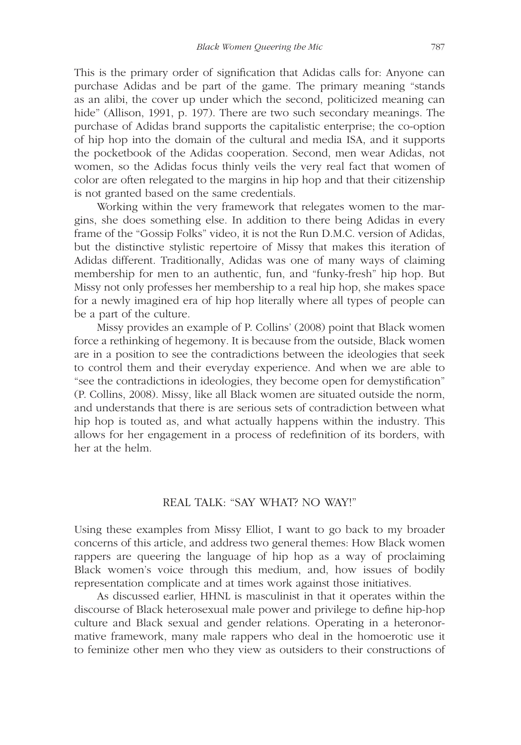This is the primary order of signification that Adidas calls for: Anyone can purchase Adidas and be part of the game. The primary meaning "stands as an alibi, the cover up under which the second, politicized meaning can hide" (Allison, 1991, p. 197). There are two such secondary meanings. The purchase of Adidas brand supports the capitalistic enterprise; the co-option of hip hop into the domain of the cultural and media ISA, and it supports the pocketbook of the Adidas cooperation. Second, men wear Adidas, not women, so the Adidas focus thinly veils the very real fact that women of color are often relegated to the margins in hip hop and that their citizenship is not granted based on the same credentials.

Working within the very framework that relegates women to the margins, she does something else. In addition to there being Adidas in every frame of the "Gossip Folks" video, it is not the Run D.M.C. version of Adidas, but the distinctive stylistic repertoire of Missy that makes this iteration of Adidas different. Traditionally, Adidas was one of many ways of claiming membership for men to an authentic, fun, and "funky-fresh" hip hop. But Missy not only professes her membership to a real hip hop, she makes space for a newly imagined era of hip hop literally where all types of people can be a part of the culture.

Missy provides an example of P. Collins' (2008) point that Black women force a rethinking of hegemony. It is because from the outside, Black women are in a position to see the contradictions between the ideologies that seek to control them and their everyday experience. And when we are able to "see the contradictions in ideologies, they become open for demystification" (P. Collins, 2008). Missy, like all Black women are situated outside the norm, and understands that there is are serious sets of contradiction between what hip hop is touted as, and what actually happens within the industry. This allows for her engagement in a process of redefinition of its borders, with her at the helm.

## REAL TALK: "SAY WHAT? NO WAY!"

Using these examples from Missy Elliot, I want to go back to my broader concerns of this article, and address two general themes: How Black women rappers are queering the language of hip hop as a way of proclaiming Black women's voice through this medium, and, how issues of bodily representation complicate and at times work against those initiatives.

As discussed earlier, HHNL is masculinist in that it operates within the discourse of Black heterosexual male power and privilege to define hip-hop culture and Black sexual and gender relations. Operating in a heteronormative framework, many male rappers who deal in the homoerotic use it to feminize other men who they view as outsiders to their constructions of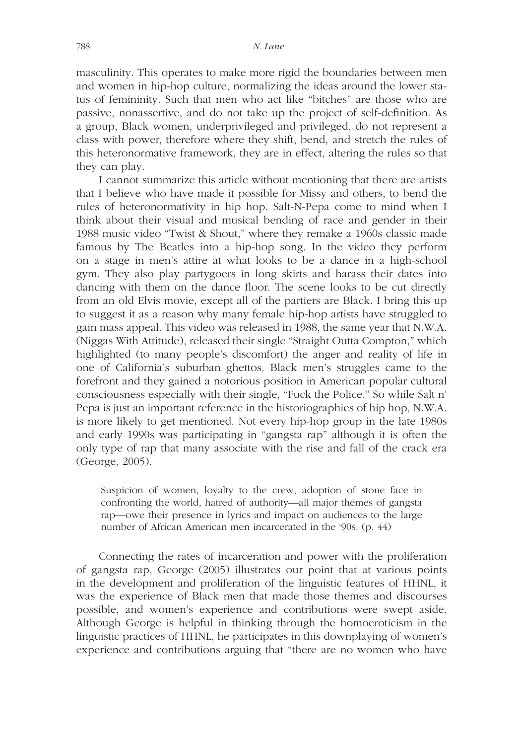masculinity. This operates to make more rigid the boundaries between men and women in hip-hop culture, normalizing the ideas around the lower status of femininity. Such that men who act like "bitches" are those who are passive, nonassertive, and do not take up the project of self-definition. As a group, Black women, underprivileged and privileged, do not represent a class with power, therefore where they shift, bend, and stretch the rules of this heteronormative framework, they are in effect, altering the rules so that they can play.

I cannot summarize this article without mentioning that there are artists that I believe who have made it possible for Missy and others, to bend the rules of heteronormativity in hip hop. Salt-N-Pepa come to mind when I think about their visual and musical bending of race and gender in their 1988 music video "Twist & Shout," where they remake a 1960s classic made famous by The Beatles into a hip-hop song. In the video they perform on a stage in men's attire at what looks to be a dance in a high-school gym. They also play partygoers in long skirts and harass their dates into dancing with them on the dance floor. The scene looks to be cut directly from an old Elvis movie, except all of the partiers are Black. I bring this up to suggest it as a reason why many female hip-hop artists have struggled to gain mass appeal. This video was released in 1988, the same year that N.W.A. (Niggas With Attitude), released their single "Straight Outta Compton," which highlighted (to many people's discomfort) the anger and reality of life in one of California's suburban ghettos. Black men's struggles came to the forefront and they gained a notorious position in American popular cultural consciousness especially with their single, "Fuck the Police." So while Salt n' Pepa is just an important reference in the historiographies of hip hop, N.W.A. is more likely to get mentioned. Not every hip-hop group in the late 1980s and early 1990s was participating in "gangsta rap" although it is often the only type of rap that many associate with the rise and fall of the crack era (George, 2005).

Suspicion of women, loyalty to the crew, adoption of stone face in confronting the world, hatred of authority—all major themes of gangsta rap—owe their presence in lyrics and impact on audiences to the large number of African American men incarcerated in the '90s. (p. 44)

Connecting the rates of incarceration and power with the proliferation of gangsta rap, George (2005) illustrates our point that at various points in the development and proliferation of the linguistic features of HHNL, it was the experience of Black men that made those themes and discourses possible, and women's experience and contributions were swept aside. Although George is helpful in thinking through the homoeroticism in the linguistic practices of HHNL, he participates in this downplaying of women's experience and contributions arguing that "there are no women who have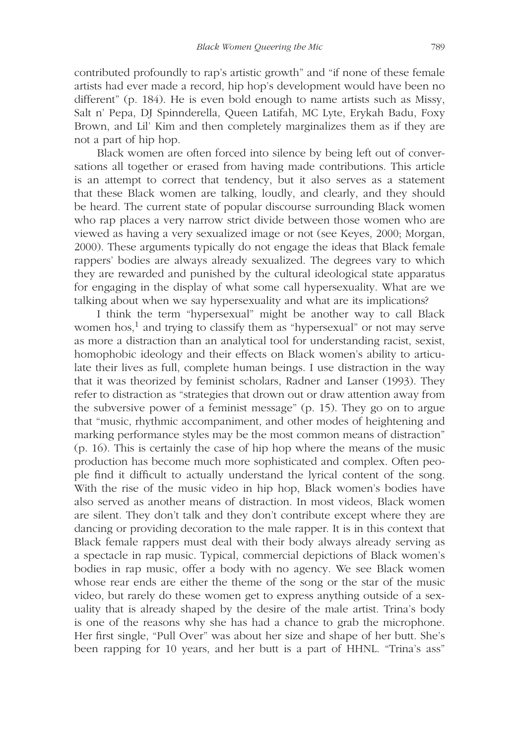contributed profoundly to rap's artistic growth" and "if none of these female artists had ever made a record, hip hop's development would have been no different" (p. 184). He is even bold enough to name artists such as Missy, Salt n' Pepa, DJ Spinnderella, Queen Latifah, MC Lyte, Erykah Badu, Foxy Brown, and Lil' Kim and then completely marginalizes them as if they are not a part of hip hop.

Black women are often forced into silence by being left out of conversations all together or erased from having made contributions. This article is an attempt to correct that tendency, but it also serves as a statement that these Black women are talking, loudly, and clearly, and they should be heard. The current state of popular discourse surrounding Black women who rap places a very narrow strict divide between those women who are viewed as having a very sexualized image or not (see Keyes, 2000; Morgan, 2000). These arguments typically do not engage the ideas that Black female rappers' bodies are always already sexualized. The degrees vary to which they are rewarded and punished by the cultural ideological state apparatus for engaging in the display of what some call hypersexuality. What are we talking about when we say hypersexuality and what are its implications?

I think the term "hypersexual" might be another way to call Black women hos, $<sup>1</sup>$  and trying to classify them as "hypersexual" or not may serve</sup> as more a distraction than an analytical tool for understanding racist, sexist, homophobic ideology and their effects on Black women's ability to articulate their lives as full, complete human beings. I use distraction in the way that it was theorized by feminist scholars, Radner and Lanser (1993). They refer to distraction as "strategies that drown out or draw attention away from the subversive power of a feminist message" (p. 15). They go on to argue that "music, rhythmic accompaniment, and other modes of heightening and marking performance styles may be the most common means of distraction" (p. 16). This is certainly the case of hip hop where the means of the music production has become much more sophisticated and complex. Often people find it difficult to actually understand the lyrical content of the song. With the rise of the music video in hip hop, Black women's bodies have also served as another means of distraction. In most videos, Black women are silent. They don't talk and they don't contribute except where they are dancing or providing decoration to the male rapper. It is in this context that Black female rappers must deal with their body always already serving as a spectacle in rap music. Typical, commercial depictions of Black women's bodies in rap music, offer a body with no agency. We see Black women whose rear ends are either the theme of the song or the star of the music video, but rarely do these women get to express anything outside of a sexuality that is already shaped by the desire of the male artist. Trina's body is one of the reasons why she has had a chance to grab the microphone. Her first single, "Pull Over" was about her size and shape of her butt. She's been rapping for 10 years, and her butt is a part of HHNL. "Trina's ass"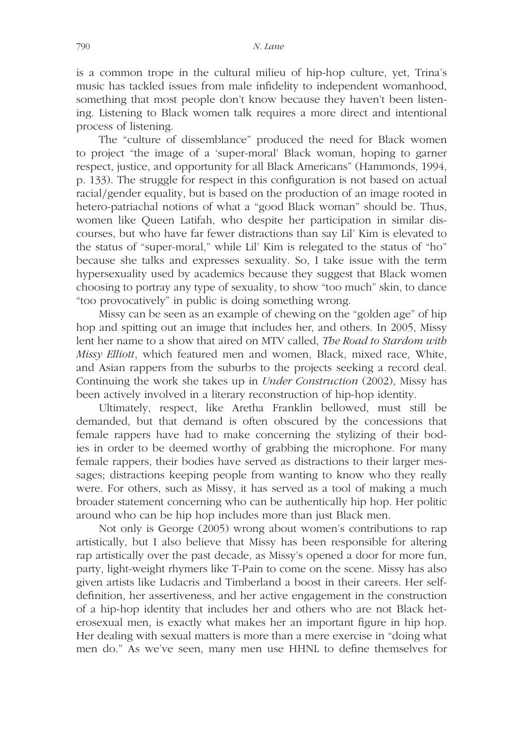is a common trope in the cultural milieu of hip-hop culture, yet, Trina's music has tackled issues from male infidelity to independent womanhood, something that most people don't know because they haven't been listening. Listening to Black women talk requires a more direct and intentional process of listening.

The "culture of dissemblance" produced the need for Black women to project "the image of a 'super-moral' Black woman, hoping to garner respect, justice, and opportunity for all Black Americans" (Hammonds, 1994, p. 133). The struggle for respect in this configuration is not based on actual racial*/*gender equality, but is based on the production of an image rooted in hetero-patriachal notions of what a "good Black woman" should be. Thus, women like Queen Latifah, who despite her participation in similar discourses, but who have far fewer distractions than say Lil' Kim is elevated to the status of "super-moral," while Lil' Kim is relegated to the status of "ho" because she talks and expresses sexuality. So, I take issue with the term hypersexuality used by academics because they suggest that Black women choosing to portray any type of sexuality, to show "too much" skin, to dance "too provocatively" in public is doing something wrong.

Missy can be seen as an example of chewing on the "golden age" of hip hop and spitting out an image that includes her, and others. In 2005, Missy lent her name to a show that aired on MTV called, *The Road to Stardom with Missy Elliott*, which featured men and women, Black, mixed race, White, and Asian rappers from the suburbs to the projects seeking a record deal. Continuing the work she takes up in *Under Construction* (2002), Missy has been actively involved in a literary reconstruction of hip-hop identity.

Ultimately, respect, like Aretha Franklin bellowed, must still be demanded, but that demand is often obscured by the concessions that female rappers have had to make concerning the stylizing of their bodies in order to be deemed worthy of grabbing the microphone. For many female rappers, their bodies have served as distractions to their larger messages; distractions keeping people from wanting to know who they really were. For others, such as Missy, it has served as a tool of making a much broader statement concerning who can be authentically hip hop. Her politic around who can be hip hop includes more than just Black men.

Not only is George (2005) wrong about women's contributions to rap artistically, but I also believe that Missy has been responsible for altering rap artistically over the past decade, as Missy's opened a door for more fun, party, light-weight rhymers like T-Pain to come on the scene. Missy has also given artists like Ludacris and Timberland a boost in their careers. Her selfdefinition, her assertiveness, and her active engagement in the construction of a hip-hop identity that includes her and others who are not Black heterosexual men, is exactly what makes her an important figure in hip hop. Her dealing with sexual matters is more than a mere exercise in "doing what men do." As we've seen, many men use HHNL to define themselves for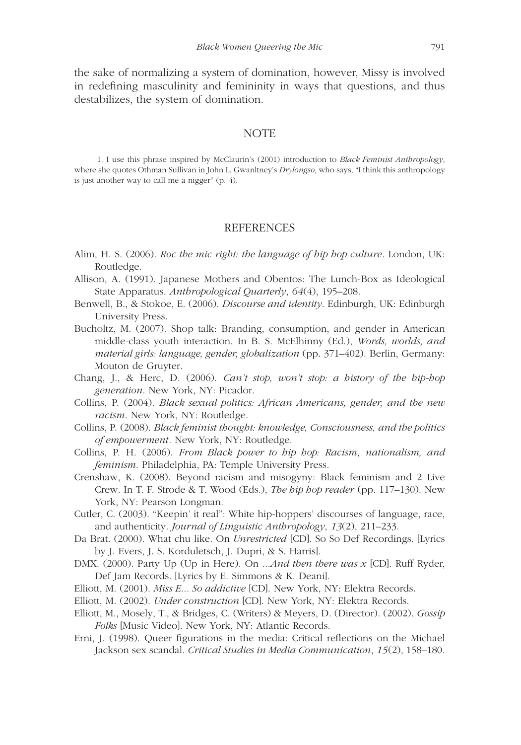the sake of normalizing a system of domination, however, Missy is involved in redefining masculinity and femininity in ways that questions, and thus destabilizes, the system of domination.

#### NOTE

1. I use this phrase inspired by McClaurin's (2001) introduction to *Black Feminist Anthropology*, where she quotes Othman Sullivan in John L. Gwanltney's *Drylongso*, who says, "I think this anthropology is just another way to call me a nigger" (p. 4).

#### REFERENCES

- Alim, H. S. (2006). *Roc the mic right: the language of hip hop culture*. London, UK: Routledge.
- Allison, A. (1991). Japanese Mothers and Obentos: The Lunch-Box as Ideological State Apparatus. *Anthropological Quarterly*, *64*(4), 195–208.
- Benwell, B., & Stokoe, E. (2006). *Discourse and identity*. Edinburgh, UK: Edinburgh University Press.
- Bucholtz, M. (2007). Shop talk: Branding, consumption, and gender in American middle-class youth interaction. In B. S. McElhinny (Ed.), *Words, worlds, and material girls: language, gender, globalization* (pp. 371–402). Berlin, Germany: Mouton de Gruyter.
- Chang, J., & Herc, D. (2006). *Can't stop, won't stop: a history of the hip-hop generation*. New York, NY: Picador.
- Collins, P. (2004). *Black sexual politics: African Americans, gender, and the new racism*. New York, NY: Routledge.
- Collins, P. (2008). *Black feminist thought: knowledge, Consciousness, and the politics of empowerment*. New York, NY: Routledge.
- Collins, P. H. (2006). *From Black power to hip hop: Racism*, *nationalism, and feminism*. Philadelphia, PA: Temple University Press.
- Crenshaw, K. (2008). Beyond racism and misogyny: Black feminism and 2 Live Crew. In T. F. Strode & T. Wood (Eds.), *The hip hop reader* (pp. 117–130). New York, NY: Pearson Longman.
- Cutler, C. (2003). "Keepin' it real": White hip-hoppers' discourses of language, race, and authenticity. *Journal of Linguistic Anthropology*, *13*(2), 211–233.
- Da Brat. (2000). What chu like. On *Unrestricted* [CD]. So So Def Recordings. [Lyrics by J. Evers, J. S. Korduletsch, J. Dupri, & S. Harris].
- DMX. (2000). Party Up (Up in Here). On ...*And then there was x* [CD]. Ruff Ryder, Def Jam Records. [Lyrics by E. Simmons & K. Deani].
- Elliott, M. (2001). *Miss E... So addictive* [CD]. New York, NY: Elektra Records.
- Elliott, M. (2002). *Under construction* [CD]. New York, NY: Elektra Records.
- Elliott, M., Mosely, T., & Bridges, C. (Writers) & Meyers, D. (Director). (2002). *Gossip Folks* [Music Video]. New York, NY: Atlantic Records.
- Erni, J. (1998). Queer figurations in the media: Critical reflections on the Michael Jackson sex scandal. *Critical Studies in Media Communication*, *15*(2), 158–180.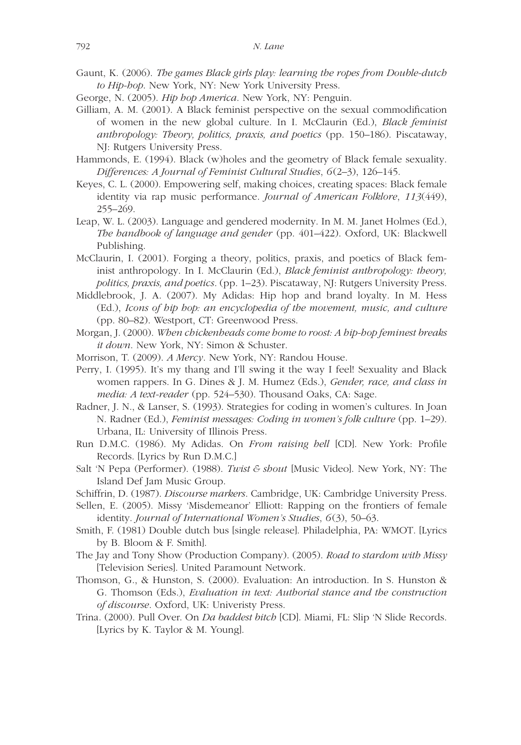- Gaunt, K. (2006). *The games Black girls play: learning the ropes from Double-dutch to Hip-hop*. New York, NY: New York University Press.
- George, N. (2005). *Hip hop America*. New York, NY: Penguin.
- Gilliam, A. M. (2001). A Black feminist perspective on the sexual commodification of women in the new global culture. In I. McClaurin (Ed.), *Black feminist anthropology: Theory, politics, praxis, and poetics* (pp. 150–186). Piscataway, NJ: Rutgers University Press.
- Hammonds, E. (1994). Black (w)holes and the geometry of Black female sexuality. *Differences: A Journal of Feminist Cultural Studies*, *6*(2–3), 126–145.
- Keyes, C. L. (2000). Empowering self, making choices, creating spaces: Black female identity via rap music performance. *Journal of American Folklore*, *113*(449), 255–269.
- Leap, W. L. (2003). Language and gendered modernity. In M. M. Janet Holmes (Ed.), *The handbook of language and gender* (pp. 401–422). Oxford, UK: Blackwell Publishing.
- McClaurin, I. (2001). Forging a theory, politics, praxis, and poetics of Black feminist anthropology. In I. McClaurin (Ed.), *Black feminist anthropology: theory, politics, praxis, and poetics*. (pp. 1–23). Piscataway, NJ: Rutgers University Press.
- Middlebrook, J. A. (2007). My Adidas: Hip hop and brand loyalty. In M. Hess (Ed.), *Icons of hip hop: an encyclopedia of the movement, music, and culture* (pp. 80–82). Westport, CT: Greenwood Press.
- Morgan, J. (2000). *When chickenheads come home to roost: A hip-hop feminest breaks it down*. New York, NY: Simon & Schuster.
- Morrison, T. (2009). *A Mercy*. New York, NY: Randou House.
- Perry, I. (1995). It's my thang and I'll swing it the way I feel! Sexuality and Black women rappers. In G. Dines & J. M. Humez (Eds.), *Gender, race, and class in media: A text-reader* (pp. 524–530). Thousand Oaks, CA: Sage.
- Radner, J. N., & Lanser, S. (1993). Strategies for coding in women's cultures. In Joan N. Radner (Ed.), *Feminist messages: Coding in women's folk culture* (pp. 1–29). Urbana, IL: University of Illinois Press.
- Run D.M.C. (1986). My Adidas. On *From raising hell* [CD]. New York: Profile Records. [Lyrics by Run D.M.C.]
- Salt 'N Pepa (Performer). (1988). *Twist & shout* [Music Video]. New York, NY: The Island Def Jam Music Group.
- Schiffrin, D. (1987). *Discourse markers*. Cambridge, UK: Cambridge University Press.
- Sellen, E. (2005). Missy 'Misdemeanor' Elliott: Rapping on the frontiers of female identity. *Journal of International Women's Studies*, *6*(3), 50–63.
- Smith, F. (1981) Double dutch bus [single release]. Philadelphia, PA: WMOT. [Lyrics by B. Bloom & F. Smith].
- The Jay and Tony Show (Production Company). (2005). *Road to stardom with Missy* [Television Series]. United Paramount Network.
- Thomson, G., & Hunston, S. (2000). Evaluation: An introduction. In S. Hunston & G. Thomson (Eds.), *Evaluation in text: Authorial stance and the construction of discourse*. Oxford, UK: Univeristy Press.
- Trina. (2000). Pull Over. On *Da baddest bitch* [CD]. Miami, FL: Slip 'N Slide Records. [Lyrics by K. Taylor & M. Young].